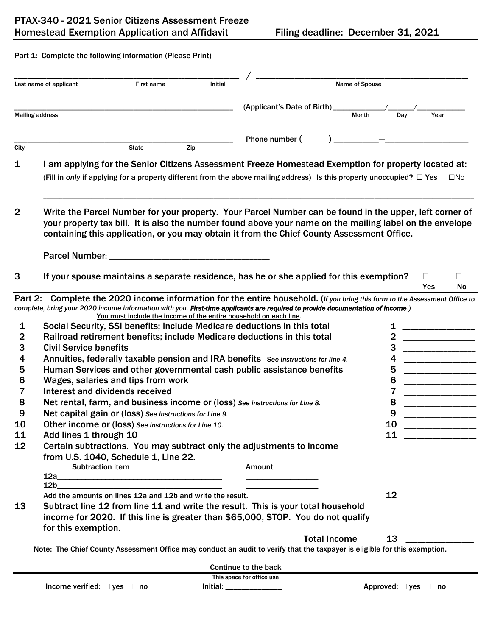|                                                        |                                                                                                                                                                                             | Part 1: Complete the following information (Please Print)                                                            |     |                                                                                                                                                                                                                                                                                                                   |                                |  |  |
|--------------------------------------------------------|---------------------------------------------------------------------------------------------------------------------------------------------------------------------------------------------|----------------------------------------------------------------------------------------------------------------------|-----|-------------------------------------------------------------------------------------------------------------------------------------------------------------------------------------------------------------------------------------------------------------------------------------------------------------------|--------------------------------|--|--|
| Last name of applicant<br>First name<br><b>Initial</b> |                                                                                                                                                                                             |                                                                                                                      |     | Name of Spouse                                                                                                                                                                                                                                                                                                    |                                |  |  |
|                                                        |                                                                                                                                                                                             |                                                                                                                      |     | (Applicant's Date of Birth) _                                                                                                                                                                                                                                                                                     |                                |  |  |
|                                                        | <b>Mailing address</b>                                                                                                                                                                      |                                                                                                                      |     |                                                                                                                                                                                                                                                                                                                   | <b>Month</b><br>Day<br>Year    |  |  |
|                                                        |                                                                                                                                                                                             |                                                                                                                      |     | Phone number (                                                                                                                                                                                                                                                                                                    |                                |  |  |
| City                                                   |                                                                                                                                                                                             | <b>State</b>                                                                                                         | Zip |                                                                                                                                                                                                                                                                                                                   |                                |  |  |
| 1                                                      |                                                                                                                                                                                             |                                                                                                                      |     | I am applying for the Senior Citizens Assessment Freeze Homestead Exemption for property located at:<br>(Fill in only if applying for a property different from the above mailing address) Is this property unoccupied? $\Box$ Yes                                                                                | $\square$ No                   |  |  |
| $\mathbf{2}$                                           | Parcel Number: _                                                                                                                                                                            | <u> 1989 - Johann Barn, mars ar breithinn ar breithinn ar breithinn ar breithinn ar breithinn ar breithinn ar br</u> |     | Write the Parcel Number for your property. Your Parcel Number can be found in the upper, left corner of<br>your property tax bill. It is also the number found above your name on the mailing label on the envelope<br>containing this application, or you may obtain it from the Chief County Assessment Office. |                                |  |  |
| 3                                                      |                                                                                                                                                                                             |                                                                                                                      |     | If your spouse maintains a separate residence, has he or she applied for this exemption?                                                                                                                                                                                                                          | П<br>$\Box$<br>Yes<br>No       |  |  |
|                                                        |                                                                                                                                                                                             |                                                                                                                      |     | Part 2: Complete the 2020 income information for the entire household. (If you bring this form to the Assessment Office to                                                                                                                                                                                        |                                |  |  |
|                                                        |                                                                                                                                                                                             | You must include the income of the entire household on each line.                                                    |     | complete, bring your 2020 income information with you. First-time applicants are required to provide documentation of income.)                                                                                                                                                                                    |                                |  |  |
| 1                                                      |                                                                                                                                                                                             |                                                                                                                      |     | Social Security, SSI benefits; include Medicare deductions in this total                                                                                                                                                                                                                                          | ______________________         |  |  |
| $\overline{\mathbf{2}}$                                |                                                                                                                                                                                             |                                                                                                                      |     | Railroad retirement benefits; include Medicare deductions in this total                                                                                                                                                                                                                                           | ______________________________ |  |  |
| 3                                                      | <b>Civil Service benefits</b>                                                                                                                                                               |                                                                                                                      |     |                                                                                                                                                                                                                                                                                                                   | 3                              |  |  |
| 4                                                      |                                                                                                                                                                                             |                                                                                                                      |     | Annuities, federally taxable pension and IRA benefits See instructions for line 4.                                                                                                                                                                                                                                |                                |  |  |
| 5                                                      |                                                                                                                                                                                             |                                                                                                                      |     | Human Services and other governmental cash public assistance benefits                                                                                                                                                                                                                                             | 5                              |  |  |
| 6                                                      |                                                                                                                                                                                             | Wages, salaries and tips from work                                                                                   |     |                                                                                                                                                                                                                                                                                                                   | 6<br>_____________________     |  |  |
| 7                                                      | Interest and dividends received                                                                                                                                                             |                                                                                                                      |     |                                                                                                                                                                                                                                                                                                                   |                                |  |  |
| 8                                                      |                                                                                                                                                                                             |                                                                                                                      |     | Net rental, farm, and business income or (loss) See instructions for Line 8.                                                                                                                                                                                                                                      |                                |  |  |
| 9                                                      |                                                                                                                                                                                             | Net capital gain or (loss) see instructions for Line 9.                                                              |     |                                                                                                                                                                                                                                                                                                                   | 9                              |  |  |
| 10                                                     |                                                                                                                                                                                             | Other income or (loss) See instructions for Line 10.                                                                 |     |                                                                                                                                                                                                                                                                                                                   |                                |  |  |
| 11                                                     | Add lines 1 through 10                                                                                                                                                                      |                                                                                                                      |     |                                                                                                                                                                                                                                                                                                                   | 11                             |  |  |
| 12                                                     |                                                                                                                                                                                             |                                                                                                                      |     | Certain subtractions. You may subtract only the adjustments to income                                                                                                                                                                                                                                             |                                |  |  |
|                                                        |                                                                                                                                                                                             | from U.S. 1040, Schedule 1, Line 22.                                                                                 |     |                                                                                                                                                                                                                                                                                                                   |                                |  |  |
|                                                        | Subtraction item                                                                                                                                                                            |                                                                                                                      |     | Amount                                                                                                                                                                                                                                                                                                            |                                |  |  |
|                                                        |                                                                                                                                                                                             | 12b                                                                                                                  |     |                                                                                                                                                                                                                                                                                                                   |                                |  |  |
|                                                        |                                                                                                                                                                                             | Add the amounts on lines 12a and 12b and write the result.                                                           |     |                                                                                                                                                                                                                                                                                                                   | 12                             |  |  |
| 13                                                     | Subtract line 12 from line 11 and write the result. This is your total household<br>income for 2020. If this line is greater than \$65,000, STOP. You do not qualify<br>for this exemption. |                                                                                                                      |     |                                                                                                                                                                                                                                                                                                                   |                                |  |  |
|                                                        |                                                                                                                                                                                             |                                                                                                                      |     | <b>Total Income</b>                                                                                                                                                                                                                                                                                               | 13                             |  |  |
|                                                        |                                                                                                                                                                                             |                                                                                                                      |     | Note: The Chief County Assessment Office may conduct an audit to verify that the taxpayer is eligible for this exemption.                                                                                                                                                                                         |                                |  |  |
|                                                        |                                                                                                                                                                                             |                                                                                                                      |     | Continue to the back                                                                                                                                                                                                                                                                                              |                                |  |  |
|                                                        |                                                                                                                                                                                             |                                                                                                                      |     | This space for office use                                                                                                                                                                                                                                                                                         |                                |  |  |
|                                                        | Income verified: $\square$ yes $\square$ no                                                                                                                                                 |                                                                                                                      |     | lnitial: _______________                                                                                                                                                                                                                                                                                          | Approved: $\Box$ yes $\Box$ no |  |  |